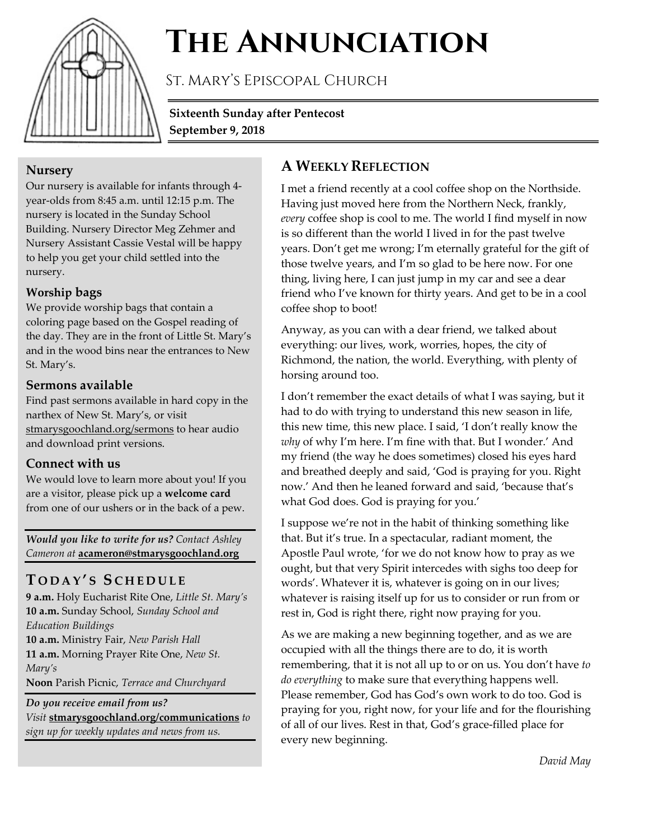

# **The Annunciation**

St. Mary's Episcopal Church

**Sixteenth Sunday after Pentecost September 9, 2018**

#### **Nursery**

Our nursery is available for infants through 4 year-olds from 8:45 a.m. until 12:15 p.m. The nursery is located in the Sunday School Building. Nursery Director Meg Zehmer and Nursery Assistant Cassie Vestal will be happy to help you get your child settled into the nursery.

#### **Worship bags**

We provide worship bags that contain a coloring page based on the Gospel reading of the day. They are in the front of Little St. Mary's and in the wood bins near the entrances to New St. Mary's.

#### **Sermons available**

Find past sermons available in hard copy in the narthex of New St. Mary's, or visit stmarysgoochland.org/sermons to hear audio and download print versions.

#### **Connect with us**

We would love to learn more about you! If you are a visitor, please pick up a **welcome card** from one of our ushers or in the back of a pew.

*Would you like to write for us? Contact Ashley Cameron at* **acameron@stmarysgoochland.org**

# **T ODAY ' S S CHEDULE**

**9 a.m.** Holy Eucharist Rite One, *Little St. Mary's* **10 a.m.** Sunday School, *Sunday School and Education Buildings* **10 a.m.** Ministry Fair, *New Parish Hall* **11 a.m.** Morning Prayer Rite One, *New St. Mary's* **Noon** Parish Picnic, *Terrace and Churchyard Do you receive email from us?* 

*Visit* **stmarysgoochland.org/communications** *to sign up for weekly updates and news from us.*

# **A WEEKLY REFLECTION**

I met a friend recently at a cool coffee shop on the Northside. Having just moved here from the Northern Neck, frankly, *every* coffee shop is cool to me. The world I find myself in now is so different than the world I lived in for the past twelve years. Don't get me wrong; I'm eternally grateful for the gift of those twelve years, and I'm so glad to be here now. For one thing, living here, I can just jump in my car and see a dear friend who I've known for thirty years. And get to be in a cool coffee shop to boot!

Anyway, as you can with a dear friend, we talked about everything: our lives, work, worries, hopes, the city of Richmond, the nation, the world. Everything, with plenty of horsing around too.

I don't remember the exact details of what I was saying, but it had to do with trying to understand this new season in life, this new time, this new place. I said, 'I don't really know the *why* of why I'm here. I'm fine with that. But I wonder.' And my friend (the way he does sometimes) closed his eyes hard and breathed deeply and said, 'God is praying for you. Right now.' And then he leaned forward and said, 'because that's what God does. God is praying for you.'

I suppose we're not in the habit of thinking something like that. But it's true. In a spectacular, radiant moment, the Apostle Paul wrote, 'for we do not know how to pray as we ought, but that very Spirit intercedes with sighs too deep for words'. Whatever it is, whatever is going on in our lives; whatever is raising itself up for us to consider or run from or rest in, God is right there, right now praying for you.

As we are making a new beginning together, and as we are occupied with all the things there are to do, it is worth remembering, that it is not all up to or on us. You don't have *to do everything* to make sure that everything happens well. Please remember, God has God's own work to do too. God is praying for you, right now, for your life and for the flourishing of all of our lives. Rest in that, God's grace-filled place for every new beginning.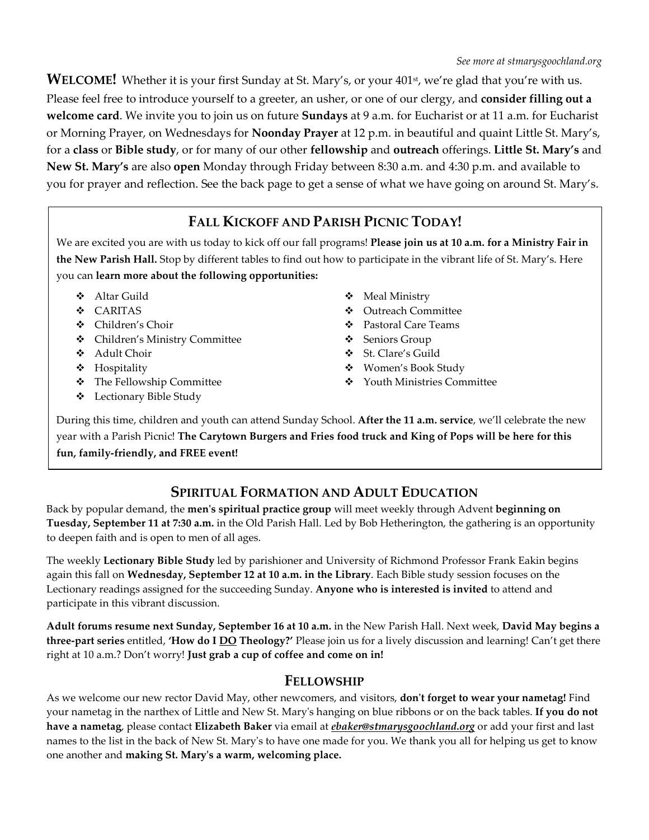WELCOME! Whether it is your first Sunday at St. Mary's, or your 401<sup>st</sup>, we're glad that you're with us. Please feel free to introduce yourself to a greeter, an usher, or one of our clergy, and **consider filling out a welcome card**. We invite you to join us on future **Sundays** at 9 a.m. for Eucharist or at 11 a.m. for Eucharist or Morning Prayer, on Wednesdays for **Noonday Prayer** at 12 p.m. in beautiful and quaint Little St. Mary's, for a **class** or **Bible study**, or for many of our other **fellowship** and **outreach** offerings. **Little St. Mary's** and **New St. Mary's** are also **open** Monday through Friday between 8:30 a.m. and 4:30 p.m. and available to you for prayer and reflection. See the back page to get a sense of what we have going on around St. Mary's.

# **FALL KICKOFF AND PARISH PICNIC TODAY!**

We are excited you are with us today to kick off our fall programs! **Please join us at 10 a.m. for a Ministry Fair in the New Parish Hall.** Stop by different tables to find out how to participate in the vibrant life of St. Mary's. Here you can **learn more about the following opportunities:**

- Altar Guild
- CARITAS
- Children's Choir
- Children's Ministry Committee
- Adult Choir
- Hospitality
- The Fellowship Committee
- Lectionary Bible Study
- Meal Ministry
- Outreach Committee
- Pastoral Care Teams
- Seniors Group
- St. Clare's Guild
- Women's Book Study
- Youth Ministries Committee

During this time, children and youth can attend Sunday School. **After the 11 a.m. service**, we'll celebrate the new year with a Parish Picnic! **The Carytown Burgers and Fries food truck and King of Pops will be here for this fun, family-friendly, and FREE event!** 

## **SPIRITUAL FORMATION AND ADULT EDUCATION**

Back by popular demand, the **men's spiritual practice group** will meet weekly through Advent **beginning on Tuesday, September 11 at 7:30 a.m.** in the Old Parish Hall. Led by Bob Hetherington, the gathering is an opportunity to deepen faith and is open to men of all ages.

The weekly **Lectionary Bible Study** led by parishioner and University of Richmond Professor Frank Eakin begins again this fall on **Wednesday, September 12 at 10 a.m. in the Library**. Each Bible study session focuses on the Lectionary readings assigned for the succeeding Sunday. **Anyone who is interested is invited** to attend and participate in this vibrant discussion.

**Adult forums resume next Sunday, September 16 at 10 a.m.** in the New Parish Hall. Next week, **David May begins a three-part series** entitled, **'How do I DO Theology?'** Please join us for a lively discussion and learning! Can't get there right at 10 a.m.? Don't worry! **Just grab a cup of coffee and come on in!**

#### **FELLOWSHIP**

As we welcome our new rector David May, other newcomers, and visitors, **don't forget to wear your nametag!** Find your nametag in the narthex of Little and New St. Mary's hanging on blue ribbons or on the back tables. **If you do not have a nametag**, please contact **Elizabeth Baker** via email at *ebaker@stmarysgoochland.org* or add your first and last names to the list in the back of New St. Mary's to have one made for you. We thank you all for helping us get to know one another and **making St. Mary's a warm, welcoming place.**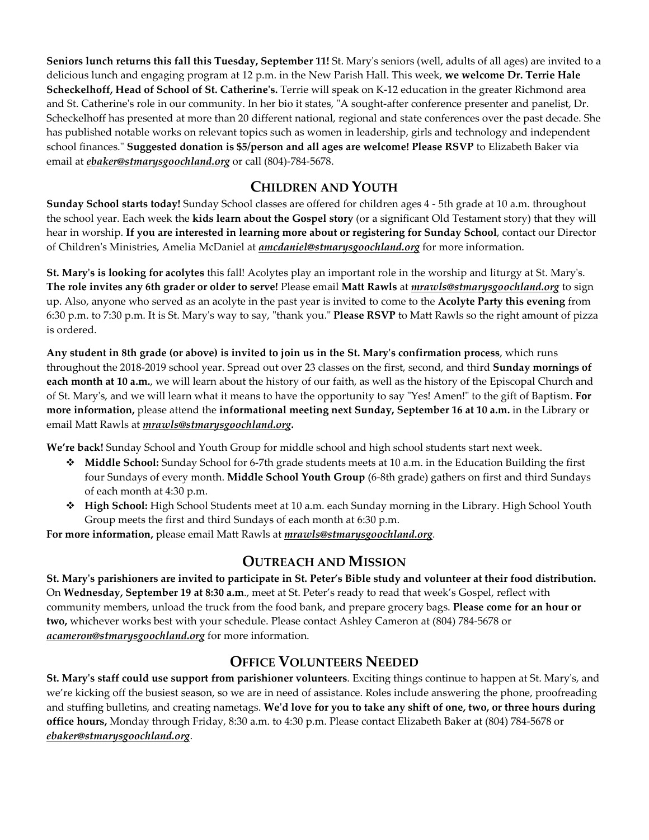**Seniors lunch returns this fall this Tuesday, September 11!** St. Mary's seniors (well, adults of all ages) are invited to a delicious lunch and engaging program at 12 p.m. in the New Parish Hall. This week, **we welcome Dr. Terrie Hale Scheckelhoff, Head of School of St. Catherine's.** Terrie will speak on K-12 education in the greater Richmond area and St. Catherine's role in our community. In her bio it states, "A sought-after conference presenter and panelist, Dr. Scheckelhoff has presented at more than 20 different national, regional and state conferences over the past decade. She has published notable works on relevant topics such as women in leadership, girls and technology and independent school finances." **Suggested donation is \$5/person and all ages are welcome! Please RSVP** to Elizabeth Baker via email at *ebaker@stmarysgoochland.org* or call (804)-784-5678.

## **CHILDREN AND YOUTH**

**Sunday School starts today!** Sunday School classes are offered for children ages 4 - 5th grade at 10 a.m. throughout the school year. Each week the **kids learn about the Gospel story** (or a significant Old Testament story) that they will hear in worship. **If you are interested in learning more about or registering for Sunday School**, contact our Director of Children's Ministries, Amelia McDaniel at *amcdaniel@stmarysgoochland.org* for more information.

**St. Mary's is looking for acolytes** this fall! Acolytes play an important role in the worship and liturgy at St. Mary's. **The role invites any 6th grader or older to serve!** Please email **Matt Rawls** at *mrawls@stmarysgoochland.org* to sign up. Also, anyone who served as an acolyte in the past year is invited to come to the **Acolyte Party this evening** from 6:30 p.m. to 7:30 p.m. It is St. Mary's way to say, "thank you." **Please RSVP** to Matt Rawls so the right amount of pizza is ordered.

**Any student in 8th grade (or above) is invited to join us in the St. Mary's confirmation process**, which runs throughout the 2018-2019 school year. Spread out over 23 classes on the first, second, and third **Sunday mornings of each month at 10 a.m.**, we will learn about the history of our faith, as well as the history of the Episcopal Church and of St. Mary's, and we will learn what it means to have the opportunity to say "Yes! Amen!" to the gift of Baptism. **For more information,** please attend the **informational meeting next Sunday, September 16 at 10 a.m.** in the Library or email Matt Rawls at *mrawls@stmarysgoochland.org***.**

**We're back!** Sunday School and Youth Group for middle school and high school students start next week.

- **Middle School:** Sunday School for 6-7th grade students meets at 10 a.m. in the Education Building the first four Sundays of every month. **Middle School Youth Group** (6-8th grade) gathers on first and third Sundays of each month at 4:30 p.m.
- **High School:** High School Students meet at 10 a.m. each Sunday morning in the Library. High School Youth Group meets the first and third Sundays of each month at 6:30 p.m.

**For more information,** please email Matt Rawls at *mrawls@stmarysgoochland.org.*

## **OUTREACH AND MISSION**

**St. Mary's parishioners are invited to participate in St. Peter's Bible study and volunteer at their food distribution.** On **Wednesday, September 19 at 8:30 a.m**., meet at St. Peter's ready to read that week's Gospel, reflect with community members, unload the truck from the food bank, and prepare grocery bags. **Please come for an hour or two,** whichever works best with your schedule. Please contact Ashley Cameron at (804) 784-5678 or *acameron@stmarysgoochland.org* for more information.

#### **OFFICE VOLUNTEERS NEEDED**

**St. Mary's staff could use support from parishioner volunteers**. Exciting things continue to happen at St. Mary's, and we're kicking off the busiest season, so we are in need of assistance. Roles include answering the phone, proofreading and stuffing bulletins, and creating nametags. **We'd love for you to take any shift of one, two, or three hours during office hours,** Monday through Friday, 8:30 a.m. to 4:30 p.m. Please contact Elizabeth Baker at (804) 784-5678 or *ebaker@stmarysgoochland.org*.